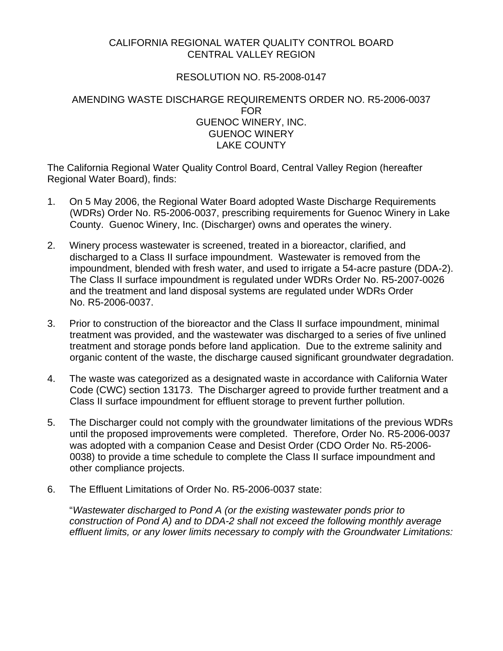# CALIFORNIA REGIONAL WATER QUALITY CONTROL BOARD CENTRAL VALLEY REGION

## RESOLUTION NO. R5-2008-0147

### AMENDING WASTE DISCHARGE REQUIREMENTS ORDER NO. R5-2006-0037 FOR GUENOC WINERY, INC. GUENOC WINERY LAKE COUNTY

The California Regional Water Quality Control Board, Central Valley Region (hereafter Regional Water Board), finds:

- 1. On 5 May 2006, the Regional Water Board adopted Waste Discharge Requirements (WDRs) Order No. R5-2006-0037, prescribing requirements for Guenoc Winery in Lake County. Guenoc Winery, Inc. (Discharger) owns and operates the winery.
- 2. Winery process wastewater is screened, treated in a bioreactor, clarified, and discharged to a Class II surface impoundment. Wastewater is removed from the impoundment, blended with fresh water, and used to irrigate a 54-acre pasture (DDA-2). The Class II surface impoundment is regulated under WDRs Order No. R5-2007-0026 and the treatment and land disposal systems are regulated under WDRs Order No. R5-2006-0037.
- 3. Prior to construction of the bioreactor and the Class II surface impoundment, minimal treatment was provided, and the wastewater was discharged to a series of five unlined treatment and storage ponds before land application. Due to the extreme salinity and organic content of the waste, the discharge caused significant groundwater degradation.
- 4. The waste was categorized as a designated waste in accordance with California Water Code (CWC) section 13173. The Discharger agreed to provide further treatment and a Class II surface impoundment for effluent storage to prevent further pollution.
- 5. The Discharger could not comply with the groundwater limitations of the previous WDRs until the proposed improvements were completed. Therefore, Order No. R5-2006-0037 was adopted with a companion Cease and Desist Order (CDO Order No. R5-2006- 0038) to provide a time schedule to complete the Class II surface impoundment and other compliance projects.
- 6. The Effluent Limitations of Order No. R5-2006-0037 state:

"*Wastewater discharged to Pond A (or the existing wastewater ponds prior to construction of Pond A) and to DDA-2 shall not exceed the following monthly average effluent limits, or any lower limits necessary to comply with the Groundwater Limitations:*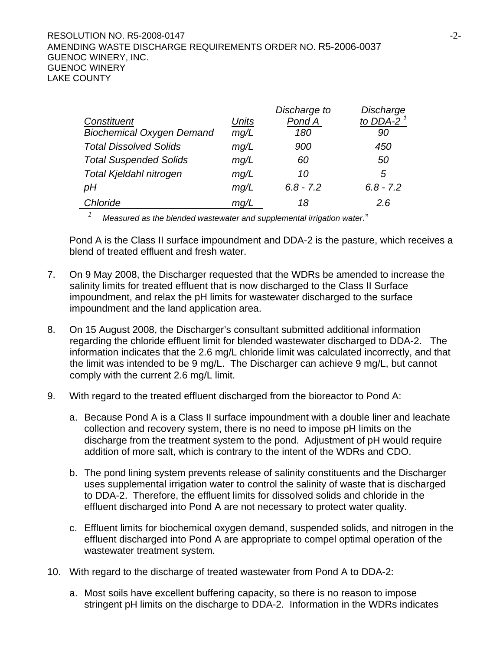### RESOLUTION NO. R5-2008-0147 **-2-** -2- **2008-0147** AMENDING WASTE DISCHARGE REQUIREMENTS ORDER NO. R5-2006-0037 GUENOC WINERY, INC. GUENOC WINERY LAKE COUNTY

| Discharge to<br>Discharge  |  |
|----------------------------|--|
| to DDA-2 $1$<br>Pond A     |  |
| 180<br>90                  |  |
| 900<br>450                 |  |
| 50<br>60                   |  |
| 10<br>5                    |  |
| $6.8 - 7.2$<br>$6.8 - 7.2$ |  |
| 18<br>2.6                  |  |
|                            |  |

*1 Measured as the blended wastewater and supplemental irrigation water*."

Pond A is the Class II surface impoundment and DDA-2 is the pasture, which receives a blend of treated effluent and fresh water.

- 7. On 9 May 2008, the Discharger requested that the WDRs be amended to increase the salinity limits for treated effluent that is now discharged to the Class II Surface impoundment, and relax the pH limits for wastewater discharged to the surface impoundment and the land application area.
- 8. On 15 August 2008, the Discharger's consultant submitted additional information regarding the chloride effluent limit for blended wastewater discharged to DDA-2. The information indicates that the 2.6 mg/L chloride limit was calculated incorrectly, and that the limit was intended to be 9 mg/L. The Discharger can achieve 9 mg/L, but cannot comply with the current 2.6 mg/L limit.
- 9. With regard to the treated effluent discharged from the bioreactor to Pond A:
	- a. Because Pond A is a Class II surface impoundment with a double liner and leachate collection and recovery system, there is no need to impose pH limits on the discharge from the treatment system to the pond. Adjustment of pH would require addition of more salt, which is contrary to the intent of the WDRs and CDO.
	- b. The pond lining system prevents release of salinity constituents and the Discharger uses supplemental irrigation water to control the salinity of waste that is discharged to DDA-2. Therefore, the effluent limits for dissolved solids and chloride in the effluent discharged into Pond A are not necessary to protect water quality.
	- c. Effluent limits for biochemical oxygen demand, suspended solids, and nitrogen in the effluent discharged into Pond A are appropriate to compel optimal operation of the wastewater treatment system.
- 10. With regard to the discharge of treated wastewater from Pond A to DDA-2:
	- a. Most soils have excellent buffering capacity, so there is no reason to impose stringent pH limits on the discharge to DDA-2. Information in the WDRs indicates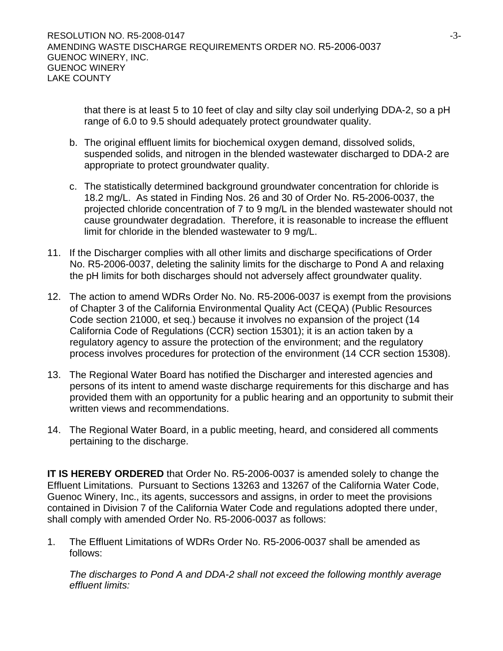that there is at least 5 to 10 feet of clay and silty clay soil underlying DDA-2, so a pH range of 6.0 to 9.5 should adequately protect groundwater quality.

- b. The original effluent limits for biochemical oxygen demand, dissolved solids, suspended solids, and nitrogen in the blended wastewater discharged to DDA-2 are appropriate to protect groundwater quality.
- c. The statistically determined background groundwater concentration for chloride is 18.2 mg/L. As stated in Finding Nos. 26 and 30 of Order No. R5-2006-0037, the projected chloride concentration of 7 to 9 mg/L in the blended wastewater should not cause groundwater degradation. Therefore, it is reasonable to increase the effluent limit for chloride in the blended wastewater to 9 mg/L.
- 11. If the Discharger complies with all other limits and discharge specifications of Order No. R5-2006-0037, deleting the salinity limits for the discharge to Pond A and relaxing the pH limits for both discharges should not adversely affect groundwater quality.
- 12. The action to amend WDRs Order No. No. R5-2006-0037 is exempt from the provisions of Chapter 3 of the California Environmental Quality Act (CEQA) (Public Resources Code section 21000, et seq.) because it involves no expansion of the project (14 California Code of Regulations (CCR) section 15301); it is an action taken by a regulatory agency to assure the protection of the environment; and the regulatory process involves procedures for protection of the environment (14 CCR section 15308).
- 13. The Regional Water Board has notified the Discharger and interested agencies and persons of its intent to amend waste discharge requirements for this discharge and has provided them with an opportunity for a public hearing and an opportunity to submit their written views and recommendations.
- 14. The Regional Water Board, in a public meeting, heard, and considered all comments pertaining to the discharge.

**IT IS HEREBY ORDERED** that Order No. R5-2006-0037 is amended solely to change the Effluent Limitations. Pursuant to Sections 13263 and 13267 of the California Water Code, Guenoc Winery, Inc., its agents, successors and assigns, in order to meet the provisions contained in Division 7 of the California Water Code and regulations adopted there under, shall comply with amended Order No. R5-2006-0037 as follows:

1. The Effluent Limitations of WDRs Order No. R5-2006-0037 shall be amended as follows:

*The discharges to Pond A and DDA-2 shall not exceed the following monthly average effluent limits:*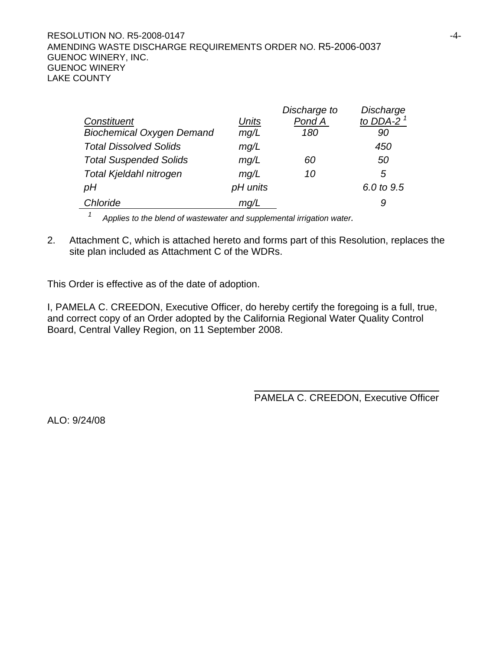#### RESOLUTION NO. R5-2008-0147 **Alternative Structure 10 and 24-4-**AMENDING WASTE DISCHARGE REQUIREMENTS ORDER NO. R5-2006-0037 GUENOC WINERY, INC. GUENOC WINERY LAKE COUNTY

|          | Discharge to | Discharge    |
|----------|--------------|--------------|
| Units    | Pond A       | to DDA-2 $1$ |
| mg/L     | 180          | 90           |
| mg/L     |              | 450          |
| mg/L     | 60           | 50           |
| mg/L     | 10           | 5            |
| pH units |              | 6.0 to 9.5   |
| mq/L     |              | 9            |
|          |              |              |

<sup>1</sup> Applies to the blend of wastewater and supplemental irrigation water.

2. Attachment C, which is attached hereto and forms part of this Resolution, replaces the site plan included as Attachment C of the WDRs.

This Order is effective as of the date of adoption.

I, PAMELA C. CREEDON, Executive Officer, do hereby certify the foregoing is a full, true, and correct copy of an Order adopted by the California Regional Water Quality Control Board, Central Valley Region, on 11 September 2008.

PAMELA C. CREEDON, Executive Officer

ALO: 9/24/08